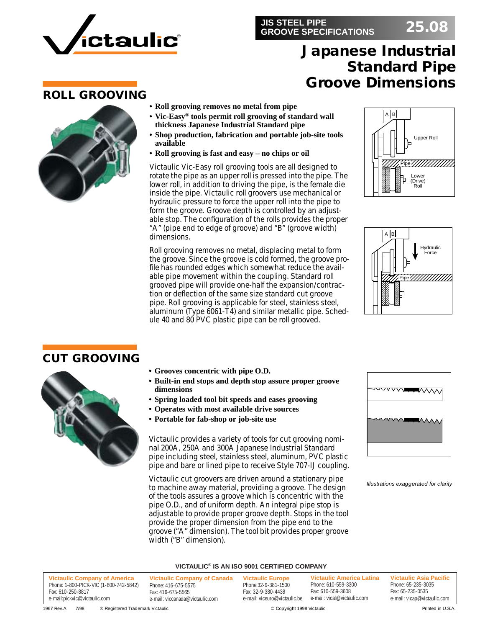

### **JIS STEEL PIPE GROOVE SPECIFICATIONS 25.08**

# **Japanese Industrial Standard Pipe Groove Dimensions**

### **ROLL GROOVING**



- **• Roll grooving removes no metal from pipe**
- **Vic-Easy® tools permit roll grooving of standard wall thickness Japanese Industrial Standard pipe**
- **• Shop production, fabrication and portable job-site tools available**
- **• Roll grooving is fast and easy no chips or oil**

Victaulic Vic-Easy roll grooving tools are all designed to rotate the pipe as an upper roll is pressed into the pipe. The lower roll, in addition to driving the pipe, is the female die inside the pipe. Victaulic roll groovers use mechanical or hydraulic pressure to force the upper roll into the pipe to form the groove. Groove depth is controlled by an adjustable stop. The configuration of the rolls provides the proper "A" (pipe end to edge of groove) and "B" (groove width) dimensions.

Roll grooving removes no metal, displacing metal to form the groove. Since the groove is cold formed, the groove profile has rounded edges which somewhat reduce the available pipe movement within the coupling. Standard roll grooved pipe will provide one-half the expansion/contraction or deflection of the same size standard cut groove pipe. Roll grooving is applicable for steel, stainless steel, aluminum (Type 6061-T4) and similar metallic pipe. Schedule 40 and 80 PVC plastic pipe can be roll grooved.





### **CUT GROOVING**



- **Grooves concentric with pipe O.D.**
- **• Built-in end stops and depth stop assure proper groove dimensions**
- **• Spring loaded tool bit speeds and eases grooving**
- **• Operates with most available drive sources**
- **Portable for fab-shop or job-site use**

Victaulic provides a variety of tools for cut grooving nominal 200A, 250A and 300A Japanese Industrial Standard pipe including steel, stainless steel, aluminum, PVC plastic pipe and bare or lined pipe to receive Style 707-IJ coupling.

Victaulic cut groovers are driven around a stationary pipe to machine away material, providing a groove. The design of the tools assures a groove which is concentric with the pipe O.D., and of uniform depth. An integral pipe stop is adjustable to provide proper groove depth. Stops in the tool provide the proper dimension from the pipe end to the groove ("A" dimension). The tool bit provides proper groove width ("B" dimension).



*Illustrations exaggerated for clarity*

#### **VICTAULIC® IS AN ISO 9001 CERTIFIED COMPANY**

**Victaulic Company of America** Phone: 1-800-PICK-VIC (1-800-742-5842) Fax: 610-250-8817 e-mail:pickvic@victaulic.com **Victaulic Company of Canada** Phone: 416-675-5575 Fax: 416-675-5565 e-mail: viccanada@victaulic.com **Victaulic America Latina** Phone: 610-559-3300 Fax: 610-559-3608 e-mail: vical@victaulic.com **Victaulic Asia Pacific** Phone: 65-235-3035 Fax: 65-235-0535 e-mail: vicap@victaulic.com **Victaulic Europe** Phone:32-9-381-1500 Fax: 32-9-380-4438 e-mail: viceuro@victaulic.be